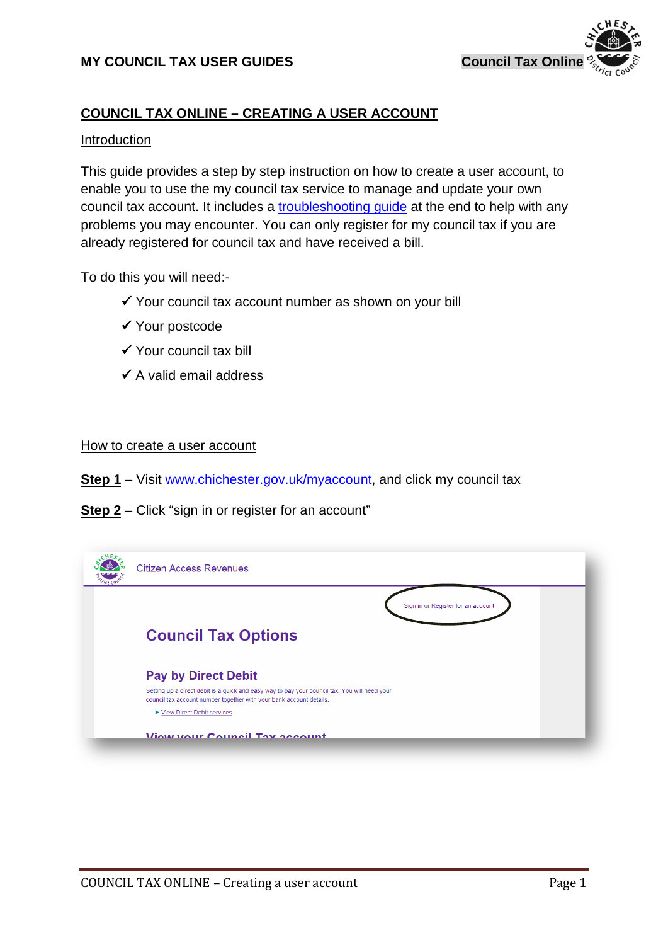

# **COUNCIL TAX ONLINE – CREATING A USER ACCOUNT**

#### **Introduction**

This guide provides a step by step instruction on how to create a user account, to enable you to use the my council tax service to manage and update your own council tax account. It includes a [troubleshooting guide](#page-4-0) at the end to help with any problems you may encounter. You can only register for my council tax if you are already registered for council tax and have received a bill.

To do this you will need:-

- $\checkmark$  Your council tax account number as shown on your bill
- Your postcode
- $\checkmark$  Your council tax bill
- $\checkmark$  A valid email address

#### How to create a user account

- **Step 1** Visit [www.chichester.gov.uk/myaccount,](http://www.chichester.gov.uk/myaccount) and click my council tax
- **Step 2** Click "sign in or register for an account"

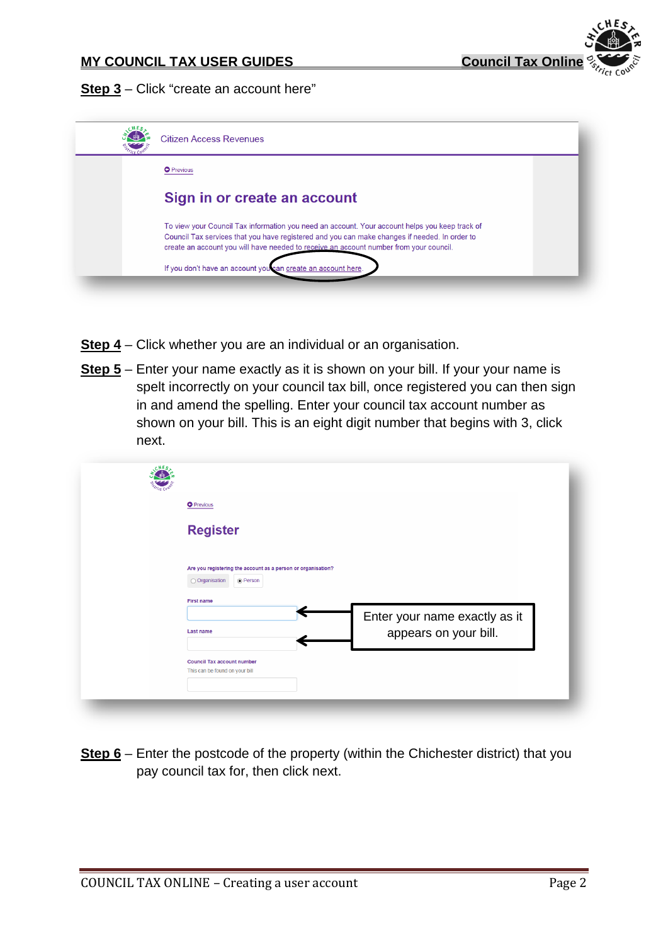**Step 3** – Click "create an account here"

| <b>Citizen Access Revenues</b>                                                                                                                                                                                                                                                            |  |
|-------------------------------------------------------------------------------------------------------------------------------------------------------------------------------------------------------------------------------------------------------------------------------------------|--|
| <b>O</b> Previous                                                                                                                                                                                                                                                                         |  |
| Sign in or create an account                                                                                                                                                                                                                                                              |  |
| To view your Council Tax information you need an account. Your account helps you keep track of<br>Council Tax services that you have registered and you can make changes if needed. In order to<br>create an account you will have needed to receive an account number from your council. |  |
| If you don't have an account you can create an account here.                                                                                                                                                                                                                              |  |

- **Step 4** Click whether you are an individual or an organisation.
- **Step 5** Enter your name exactly as it is shown on your bill. If your your name is spelt incorrectly on your council tax bill, once registered you can then sign in and amend the spelling. Enter your council tax account number as shown on your bill. This is an eight digit number that begins with 3, click next.

| <b>O</b> Previous                                                                          |                               |
|--------------------------------------------------------------------------------------------|-------------------------------|
| <b>Register</b>                                                                            |                               |
|                                                                                            |                               |
| Are you registering the account as a person or organisation?<br>○ Organisation<br>◉ Person |                               |
| <b>First name</b>                                                                          |                               |
|                                                                                            | Enter your name exactly as it |
| <b>Last name</b>                                                                           | appears on your bill.         |
| <b>Council Tax account number</b>                                                          |                               |
|                                                                                            |                               |

**Step 6** – Enter the postcode of the property (within the Chichester district) that you pay council tax for, then click next.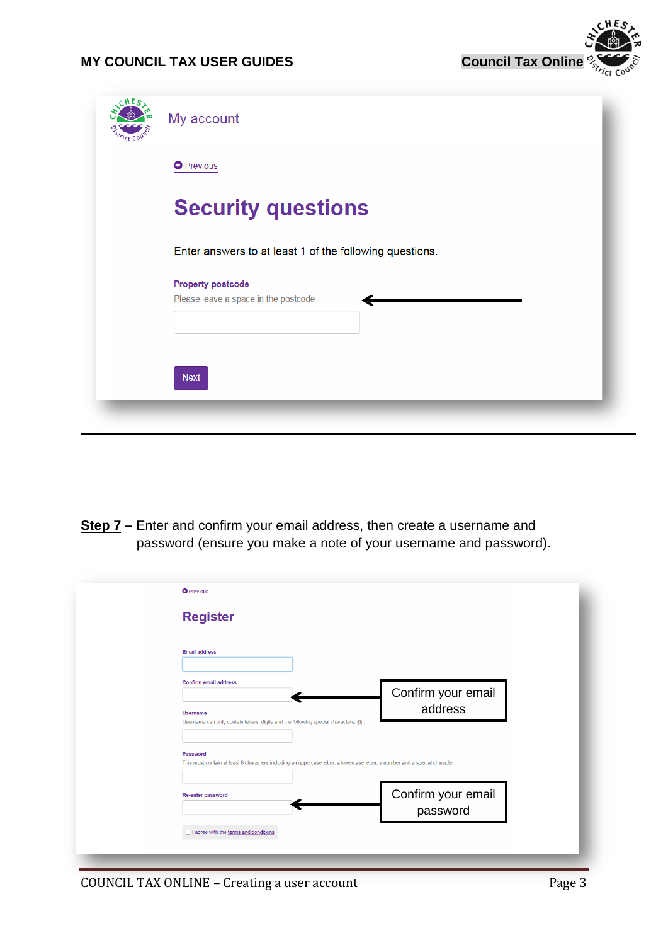

| c H E s | My account                                              |
|---------|---------------------------------------------------------|
|         | <b>O</b> Previous                                       |
|         | <b>Security questions</b>                               |
|         | Enter answers to at least 1 of the following questions. |
|         | <b>Property postcode</b>                                |
|         | Please leave a space in the postcode                    |
|         | <b>Next</b>                                             |
|         |                                                         |

**Step 7 –** Enter and confirm your email address, then create a username and password (ensure you make a note of your username and password).

| <b>Register</b>                                                                                                             |                    |
|-----------------------------------------------------------------------------------------------------------------------------|--------------------|
|                                                                                                                             |                    |
| <b>Email address</b>                                                                                                        |                    |
|                                                                                                                             |                    |
| <b>Confirm email address</b>                                                                                                |                    |
|                                                                                                                             | Confirm your email |
| <b>Username</b>                                                                                                             | address            |
| Username can only contain letters, digits and the following special characters: @ . _                                       |                    |
|                                                                                                                             |                    |
| Password                                                                                                                    |                    |
| This must contain at least 8 characters including an uppercase letter, a lowercase letter, a number and a special character |                    |
|                                                                                                                             |                    |
| Re-enter password                                                                                                           | Confirm your email |
|                                                                                                                             | password           |
|                                                                                                                             |                    |
| I agree with the terms and conditions                                                                                       |                    |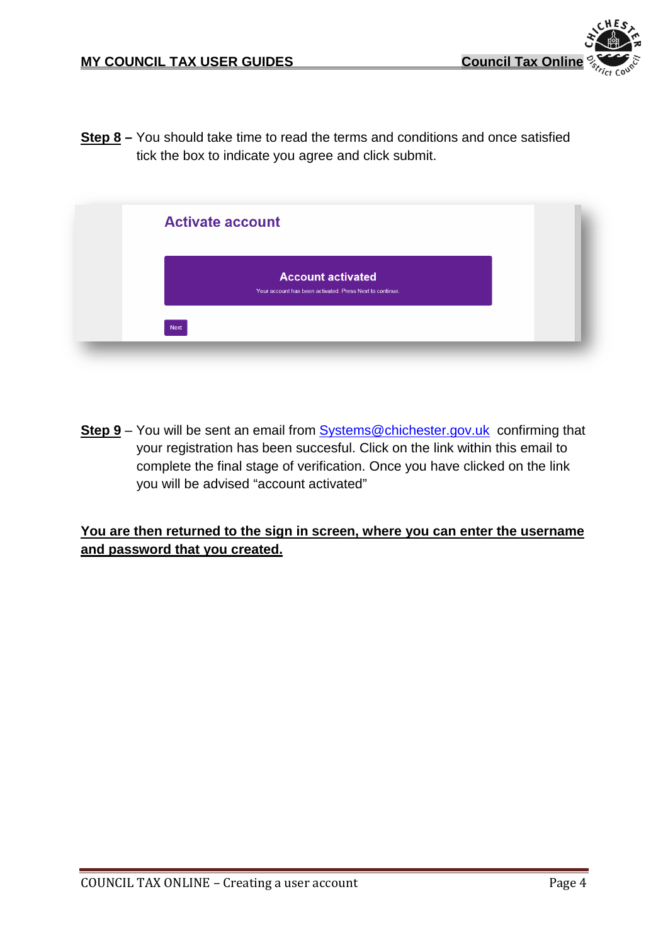

**Step 8 –** You should take time to read the terms and conditions and once satisfied tick the box to indicate you agree and click submit.

| <b>Activate account</b>                                                              |  |
|--------------------------------------------------------------------------------------|--|
| <b>Account activated</b><br>Your account has been activated. Press Next to continue. |  |
| <b>Next</b>                                                                          |  |

**Step 9** – You will be sent an email from [Systems@chichester.gov.uk](mailto:Systems@chichester.gov.uk) confirming that your registration has been succesful. Click on the link within this email to complete the final stage of verification. Once you have clicked on the link you will be advised "account activated"

### **You are then returned to the sign in screen, where you can enter the username and password that you created.**